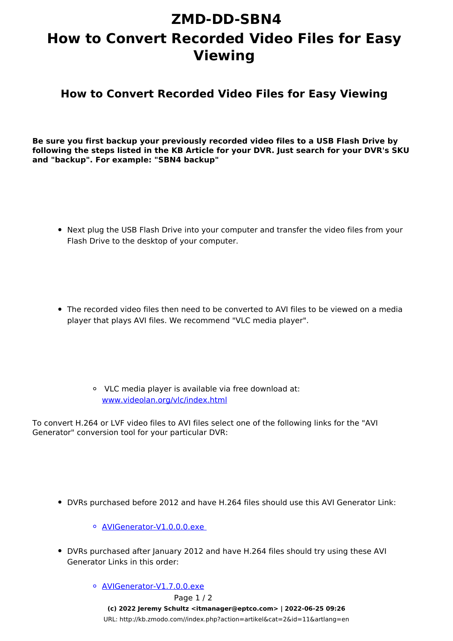## **ZMD-DD-SBN4 How to Convert Recorded Video Files for Easy Viewing**

**How to Convert Recorded Video Files for Easy Viewing**

**Be sure you first backup your previously recorded video files to a USB Flash Drive by following the steps listed in the KB Article for your DVR. Just search for your DVR's SKU and "backup". For example: "SBN4 backup"**

- Next plug the USB Flash Drive into your computer and transfer the video files from your Flash Drive to the desktop of your computer.
- The recorded video files then need to be converted to AVI files to be viewed on a media player that plays AVI files. We recommend "VLC media player".
	- VLC media player is available via free download at: [www.videolan.org/vlc/index.html](http://www.videolan.org/vlc/index.html)

To convert H.264 or LVF video files to AVI files select one of the following links for the "AVI Generator" conversion tool for your particular DVR:

DVRs purchased before 2012 and have H.264 files should use this AVI Generator Link:

[AVIGenerator-V1.0.0.0.exe](https://dl.dropbox.com/u/72446397/AVIGenerator-V1.0.0.0.exe) 

- DVRs purchased after January 2012 and have H.264 files should try using these AVI Generator Links in this order:
	- o [AVIGenerator-V1.7.0.0.exe](https://dl.dropbox.com/u/72446397/AVIGenerator-V1.7.0.0.exe) Page 1 / 2 **(c) 2022 Jeremy Schultz <itmanager@eptco.com> | 2022-06-25 09:26** [URL: http://kb.zmodo.com//index.php?action=artikel&cat=2&id=11&artlang=en](http://kb.zmodo.com//index.php?action=artikel&cat=2&id=11&artlang=en)